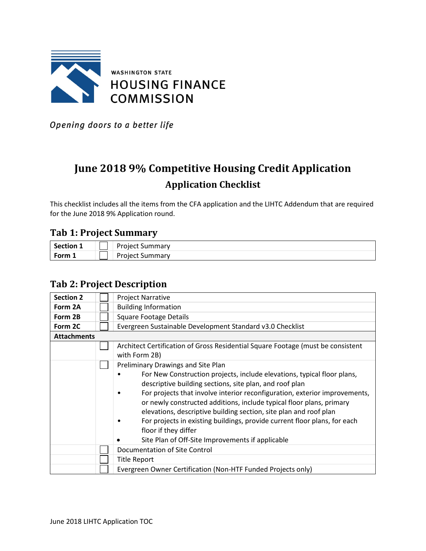

Opening doors to a better life

# **June 2018 9% Competitive Housing Credit Application Application Checklist**

This checklist includes all the items from the CFA application and the LIHTC Addendum that are required for the June 2018 9% Application round.

#### **Tab 1: Project Summary**

| <b>Section</b> |       | Droio<br>$\sim$ $\sim$ $\sim$ $\sim$<br>Hdl |
|----------------|-------|---------------------------------------------|
| <b>Eorm</b>    | _____ | .                                           |

#### **Tab 2: Project Description**

| <b>Section 2</b>   | <b>Project Narrative</b>                                                                                                                                                                                                                                                                                                                                                                                                                                                                                                                                     |
|--------------------|--------------------------------------------------------------------------------------------------------------------------------------------------------------------------------------------------------------------------------------------------------------------------------------------------------------------------------------------------------------------------------------------------------------------------------------------------------------------------------------------------------------------------------------------------------------|
| Form 2A            | <b>Building Information</b>                                                                                                                                                                                                                                                                                                                                                                                                                                                                                                                                  |
| Form 2B            | <b>Square Footage Details</b>                                                                                                                                                                                                                                                                                                                                                                                                                                                                                                                                |
| Form 2C            | Evergreen Sustainable Development Standard v3.0 Checklist                                                                                                                                                                                                                                                                                                                                                                                                                                                                                                    |
| <b>Attachments</b> |                                                                                                                                                                                                                                                                                                                                                                                                                                                                                                                                                              |
|                    | Architect Certification of Gross Residential Square Footage (must be consistent<br>with Form 2B)                                                                                                                                                                                                                                                                                                                                                                                                                                                             |
|                    | Preliminary Drawings and Site Plan<br>For New Construction projects, include elevations, typical floor plans,<br>descriptive building sections, site plan, and roof plan<br>For projects that involve interior reconfiguration, exterior improvements,<br>or newly constructed additions, include typical floor plans, primary<br>elevations, descriptive building section, site plan and roof plan<br>For projects in existing buildings, provide current floor plans, for each<br>floor if they differ<br>Site Plan of Off-Site Improvements if applicable |
|                    | Documentation of Site Control                                                                                                                                                                                                                                                                                                                                                                                                                                                                                                                                |
|                    | <b>Title Report</b>                                                                                                                                                                                                                                                                                                                                                                                                                                                                                                                                          |
|                    | Evergreen Owner Certification (Non-HTF Funded Projects only)                                                                                                                                                                                                                                                                                                                                                                                                                                                                                                 |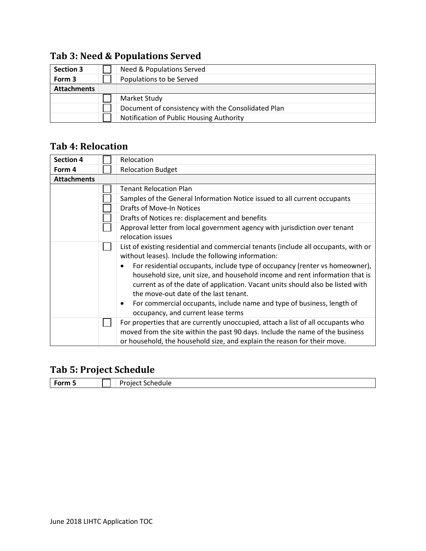### **Tab 3: Need & Populations Served**

| <b>Section 3</b>   | Need & Populations Served                          |
|--------------------|----------------------------------------------------|
| Form 3             | Populations to be Served                           |
| <b>Attachments</b> |                                                    |
|                    | Market Study                                       |
|                    | Document of consistency with the Consolidated Plan |
|                    | Notification of Public Housing Authority           |

#### **Tab 4: Relocation**

| <b>Section 4</b>   | Relocation                                                                          |
|--------------------|-------------------------------------------------------------------------------------|
| Form 4             | <b>Relocation Budget</b>                                                            |
| <b>Attachments</b> |                                                                                     |
|                    | <b>Tenant Relocation Plan</b>                                                       |
|                    | Samples of the General Information Notice issued to all current occupants           |
|                    | <b>Drafts of Move-In Notices</b>                                                    |
|                    | Drafts of Notices re: displacement and benefits                                     |
|                    | Approval letter from local government agency with jurisdiction over tenant          |
|                    | relocation issues                                                                   |
|                    | List of existing residential and commercial tenants (include all occupants, with or |
|                    | without leases). Include the following information:                                 |
|                    | For residential occupants, include type of occupancy (renter vs homeowner),         |
|                    | household size, unit size, and household income and rent information that is        |
|                    | current as of the date of application. Vacant units should also be listed with      |
|                    | the move-out date of the last tenant.                                               |
|                    | For commercial occupants, include name and type of business, length of<br>$\bullet$ |
|                    | occupancy, and current lease terms                                                  |
|                    | For properties that are currently unoccupied, attach a list of all occupants who    |
|                    | moved from the site within the past 90 days. Include the name of the business       |
|                    | or household, the household size, and explain the reason for their move.            |

### **Tab 5: Project Schedule**

| المستعدات<br>.<br>ле<br>_____<br>- - - - |
|------------------------------------------|
|------------------------------------------|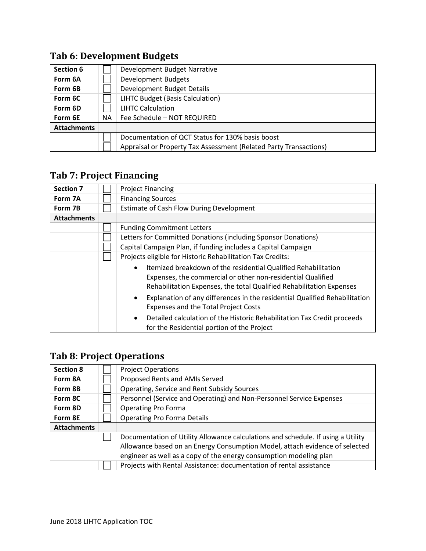### **Tab 6: Development Budgets**

| Section 6          |     | Development Budget Narrative                                      |
|--------------------|-----|-------------------------------------------------------------------|
| Form 6A            |     | <b>Development Budgets</b>                                        |
| Form 6B            |     | <b>Development Budget Details</b>                                 |
| Form 6C            |     | LIHTC Budget (Basis Calculation)                                  |
| Form 6D            |     | <b>LIHTC Calculation</b>                                          |
| Form 6E            | NA. | Fee Schedule - NOT REQUIRED                                       |
| <b>Attachments</b> |     |                                                                   |
|                    |     | Documentation of QCT Status for 130% basis boost                  |
|                    |     | Appraisal or Property Tax Assessment (Related Party Transactions) |

### **Tab 7: Project Financing**

| <b>Section 7</b>   | <b>Project Financing</b>                                                                                                                                                                                                                                                                                                                                     |
|--------------------|--------------------------------------------------------------------------------------------------------------------------------------------------------------------------------------------------------------------------------------------------------------------------------------------------------------------------------------------------------------|
| Form 7A            | <b>Financing Sources</b>                                                                                                                                                                                                                                                                                                                                     |
| Form 7B            | <b>Estimate of Cash Flow During Development</b>                                                                                                                                                                                                                                                                                                              |
| <b>Attachments</b> |                                                                                                                                                                                                                                                                                                                                                              |
|                    | <b>Funding Commitment Letters</b>                                                                                                                                                                                                                                                                                                                            |
|                    | Letters for Committed Donations (including Sponsor Donations)                                                                                                                                                                                                                                                                                                |
|                    | Capital Campaign Plan, if funding includes a Capital Campaign                                                                                                                                                                                                                                                                                                |
|                    | Projects eligible for Historic Rehabilitation Tax Credits:                                                                                                                                                                                                                                                                                                   |
|                    | Itemized breakdown of the residential Qualified Rehabilitation<br>$\bullet$<br>Expenses, the commercial or other non-residential Qualified<br>Rehabilitation Expenses, the total Qualified Rehabilitation Expenses<br>Explanation of any differences in the residential Qualified Rehabilitation<br>$\bullet$<br><b>Expenses and the Total Project Costs</b> |
|                    | Detailed calculation of the Historic Rehabilitation Tax Credit proceeds<br>$\bullet$<br>for the Residential portion of the Project                                                                                                                                                                                                                           |

### **Tab 8: Project Operations**

| <b>Section 8</b>   | <b>Project Operations</b>                                                        |
|--------------------|----------------------------------------------------------------------------------|
| Form 8A            | Proposed Rents and AMIs Served                                                   |
| Form 8B            | Operating, Service and Rent Subsidy Sources                                      |
| Form 8C            | Personnel (Service and Operating) and Non-Personnel Service Expenses             |
| Form 8D            | <b>Operating Pro Forma</b>                                                       |
| Form 8E            | <b>Operating Pro Forma Details</b>                                               |
| <b>Attachments</b> |                                                                                  |
|                    | Documentation of Utility Allowance calculations and schedule. If using a Utility |
|                    | Allowance based on an Energy Consumption Model, attach evidence of selected      |
|                    | engineer as well as a copy of the energy consumption modeling plan               |
|                    | Projects with Rental Assistance: documentation of rental assistance              |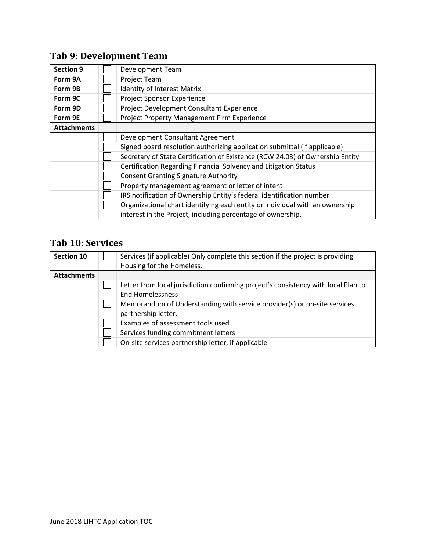## **Tab 9: Development Team**

| <b>Section 9</b>   | Development Team                                                              |
|--------------------|-------------------------------------------------------------------------------|
| Form 9A            | Project Team                                                                  |
| Form 9B            | <b>Identity of Interest Matrix</b>                                            |
| Form 9C            | Project Sponsor Experience                                                    |
| Form 9D            | Project Development Consultant Experience                                     |
| Form 9E            | Project Property Management Firm Experience                                   |
| <b>Attachments</b> |                                                                               |
|                    | Development Consultant Agreement                                              |
|                    | Signed board resolution authorizing application submittal (if applicable)     |
|                    | Secretary of State Certification of Existence (RCW 24.03) of Ownership Entity |
|                    | Certification Regarding Financial Solvency and Litigation Status              |
|                    | <b>Consent Granting Signature Authority</b>                                   |
|                    | Property management agreement or letter of intent                             |
|                    | IRS notification of Ownership Entity's federal identification number          |
|                    | Organizational chart identifying each entity or individual with an ownership  |
|                    | interest in the Project, including percentage of ownership.                   |

#### **Tab 10: Services**

| <b>Section 10</b>  | Services (if applicable) Only complete this section if the project is providing<br>Housing for the Homeless. |
|--------------------|--------------------------------------------------------------------------------------------------------------|
|                    |                                                                                                              |
| <b>Attachments</b> |                                                                                                              |
|                    | Letter from local jurisdiction confirming project's consistency with local Plan to                           |
|                    | <b>End Homelessness</b>                                                                                      |
|                    | Memorandum of Understanding with service provider(s) or on-site services<br>partnership letter.              |
|                    | Examples of assessment tools used                                                                            |
|                    | Services funding commitment letters                                                                          |
|                    | On-site services partnership letter, if applicable                                                           |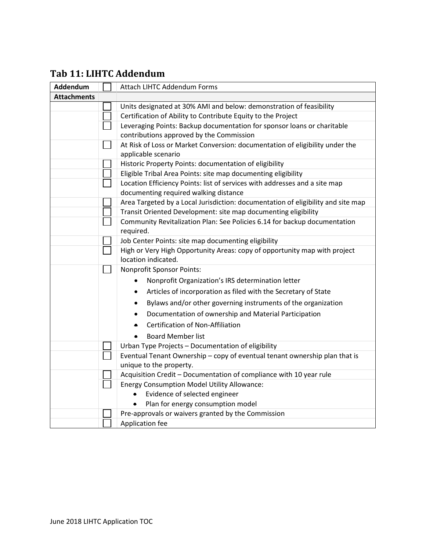#### **Tab 11: LIHTC Addendum**

| Addendum           | <b>Attach LIHTC Addendum Forms</b>                                                               |
|--------------------|--------------------------------------------------------------------------------------------------|
| <b>Attachments</b> |                                                                                                  |
|                    | Units designated at 30% AMI and below: demonstration of feasibility                              |
|                    | Certification of Ability to Contribute Equity to the Project                                     |
|                    | Leveraging Points: Backup documentation for sponsor loans or charitable                          |
|                    | contributions approved by the Commission                                                         |
|                    | At Risk of Loss or Market Conversion: documentation of eligibility under the                     |
|                    | applicable scenario                                                                              |
|                    | Historic Property Points: documentation of eligibility                                           |
|                    | Eligible Tribal Area Points: site map documenting eligibility                                    |
|                    | Location Efficiency Points: list of services with addresses and a site map                       |
|                    | documenting required walking distance                                                            |
|                    | Area Targeted by a Local Jurisdiction: documentation of eligibility and site map                 |
|                    | Transit Oriented Development: site map documenting eligibility                                   |
|                    | Community Revitalization Plan: See Policies 6.14 for backup documentation                        |
|                    | required.                                                                                        |
|                    | Job Center Points: site map documenting eligibility                                              |
|                    | High or Very High Opportunity Areas: copy of opportunity map with project<br>location indicated. |
|                    | <b>Nonprofit Sponsor Points:</b>                                                                 |
|                    | Nonprofit Organization's IRS determination letter                                                |
|                    | Articles of incorporation as filed with the Secretary of State                                   |
|                    | Bylaws and/or other governing instruments of the organization<br>$\bullet$                       |
|                    | Documentation of ownership and Material Participation                                            |
|                    | <b>Certification of Non-Affiliation</b>                                                          |
|                    | <b>Board Member list</b>                                                                         |
|                    | Urban Type Projects - Documentation of eligibility                                               |
|                    | Eventual Tenant Ownership - copy of eventual tenant ownership plan that is                       |
|                    | unique to the property.                                                                          |
|                    | Acquisition Credit - Documentation of compliance with 10 year rule                               |
|                    | <b>Energy Consumption Model Utility Allowance:</b>                                               |
|                    | Evidence of selected engineer                                                                    |
|                    | Plan for energy consumption model                                                                |
|                    | Pre-approvals or waivers granted by the Commission                                               |
|                    | Application fee                                                                                  |